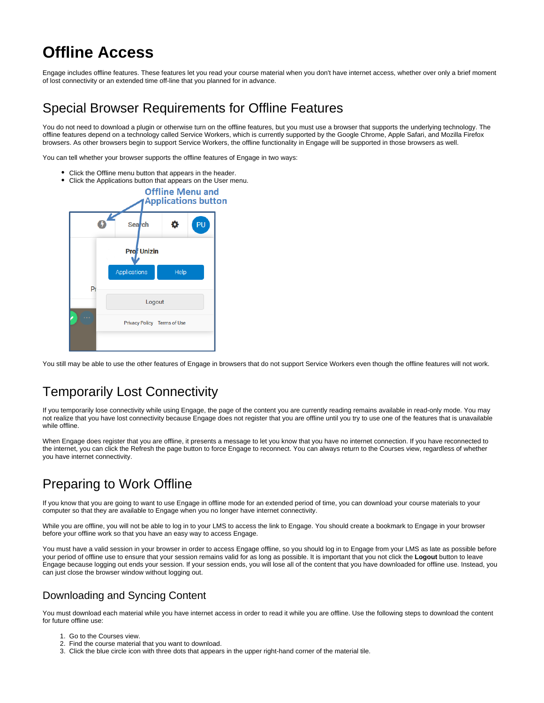# **Offline Access**

Engage includes offline features. These features let you read your course material when you don't have internet access, whether over only a brief moment of lost connectivity or an extended time off-line that you planned for in advance.

### Special Browser Requirements for Offline Features

You do not need to download a plugin or otherwise turn on the offline features, but you must use a browser that supports the underlying technology. The offline features depend on a technology called Service Workers, which is currently supported by the Google Chrome, Apple Safari, and Mozilla Firefox browsers. As other browsers begin to support Service Workers, the offline functionality in Engage will be supported in those browsers as well.

You can tell whether your browser supports the offline features of Engage in two ways:

- Click the Offline menu button that appears in the header.
- Click the Applications button that appears on the User menu.



You still may be able to use the other features of Engage in browsers that do not support Service Workers even though the offline features will not work.

## Temporarily Lost Connectivity

If you temporarily lose connectivity while using Engage, the page of the content you are currently reading remains available in read-only mode. You may not realize that you have lost connectivity because Engage does not register that you are offline until you try to use one of the features that is unavailable while offline.

When Engage does register that you are offline, it presents a message to let you know that you have no internet connection. If you have reconnected to the internet, you can click the Refresh the page button to force Engage to reconnect. You can always return to the Courses view, regardless of whether you have internet connectivity.

## Preparing to Work Offline

If you know that you are going to want to use Engage in offline mode for an extended period of time, you can download your course materials to your computer so that they are available to Engage when you no longer have internet connectivity.

While you are offline, you will not be able to log in to your LMS to access the link to Engage. You should create a bookmark to Engage in your browser before your offline work so that you have an easy way to access Engage.

You must have a valid session in your browser in order to access Engage offline, so you should log in to Engage from your LMS as late as possible before your period of offline use to ensure that your session remains valid for as long as possible. It is important that you not click the **Logout** button to leave Engage because logging out ends your session. If your session ends, you will lose all of the content that you have downloaded for offline use. Instead, you can just close the browser window without logging out.

#### Downloading and Syncing Content

You must download each material while you have internet access in order to read it while you are offline. Use the following steps to download the content for future offline use:

- 1. Go to the Courses view.
- 2. Find the course material that you want to download.
- 3. Click the blue circle icon with three dots that appears in the upper right-hand corner of the material tile.